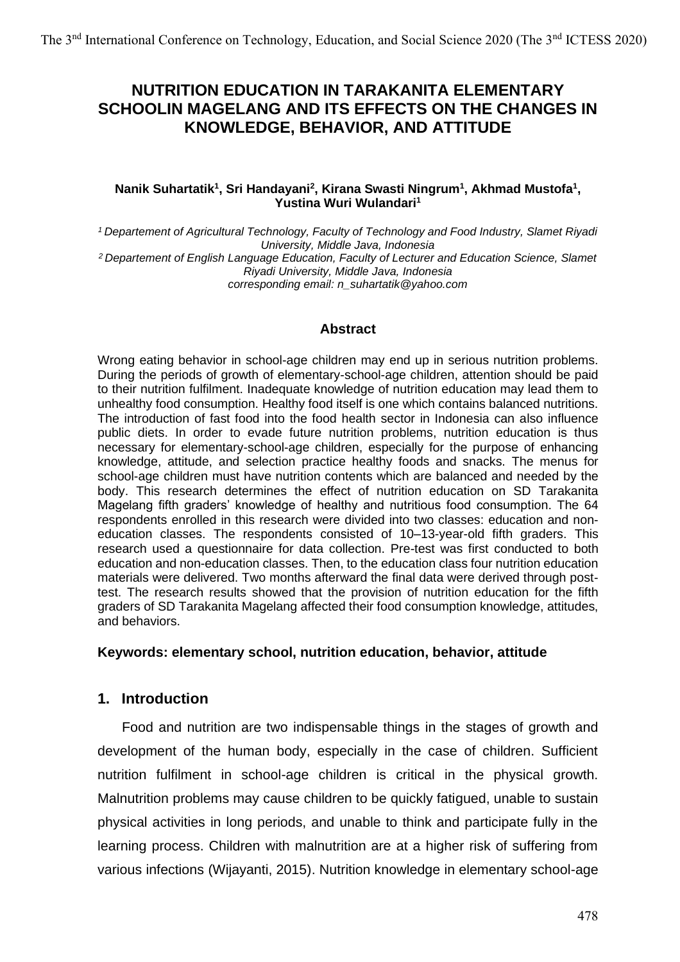# **NUTRITION EDUCATION IN TARAKANITA ELEMENTARY SCHOOLIN MAGELANG AND ITS EFFECTS ON THE CHANGES IN KNOWLEDGE, BEHAVIOR, AND ATTITUDE**

#### **Nanik Suhartatik<sup>1</sup> , Sri Handayani<sup>2</sup> , Kirana Swasti Ningrum<sup>1</sup> , Akhmad Mustofa<sup>1</sup> , Yustina Wuri Wulandari<sup>1</sup>**

*<sup>1</sup> Departement of Agricultural Technology, Faculty of Technology and Food Industry, Slamet Riyadi University, Middle Java, Indonesia <sup>2</sup> Departement of English Language Education, Faculty of Lecturer and Education Science, Slamet Riyadi University, Middle Java, Indonesia corresponding email: n\_suhartatik@yahoo.com*

### **Abstract**

Wrong eating behavior in school-age children may end up in serious nutrition problems. During the periods of growth of elementary-school-age children, attention should be paid to their nutrition fulfilment. Inadequate knowledge of nutrition education may lead them to unhealthy food consumption. Healthy food itself is one which contains balanced nutritions. The introduction of fast food into the food health sector in Indonesia can also influence public diets. In order to evade future nutrition problems, nutrition education is thus necessary for elementary-school-age children, especially for the purpose of enhancing knowledge, attitude, and selection practice healthy foods and snacks. The menus for school-age children must have nutrition contents which are balanced and needed by the body. This research determines the effect of nutrition education on SD Tarakanita Magelang fifth graders' knowledge of healthy and nutritious food consumption. The 64 respondents enrolled in this research were divided into two classes: education and noneducation classes. The respondents consisted of 10–13-year-old fifth graders. This research used a questionnaire for data collection. Pre-test was first conducted to both education and non-education classes. Then, to the education class four nutrition education materials were delivered. Two months afterward the final data were derived through posttest. The research results showed that the provision of nutrition education for the fifth graders of SD Tarakanita Magelang affected their food consumption knowledge, attitudes, and behaviors.

#### **Keywords: elementary school, nutrition education, behavior, attitude**

### **1. Introduction**

Food and nutrition are two indispensable things in the stages of growth and development of the human body, especially in the case of children. Sufficient nutrition fulfilment in school-age children is critical in the physical growth. Malnutrition problems may cause children to be quickly fatigued, unable to sustain physical activities in long periods, and unable to think and participate fully in the learning process. Children with malnutrition are at a higher risk of suffering from various infections (Wijayanti, 2015). Nutrition knowledge in elementary school-age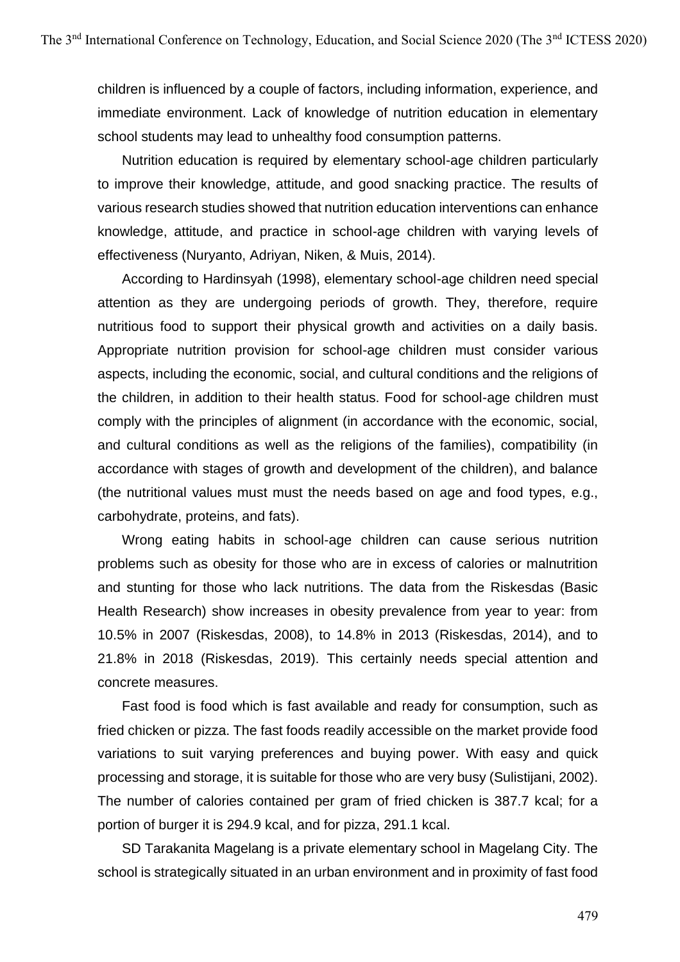children is influenced by a couple of factors, including information, experience, and immediate environment. Lack of knowledge of nutrition education in elementary school students may lead to unhealthy food consumption patterns.

Nutrition education is required by elementary school-age children particularly to improve their knowledge, attitude, and good snacking practice. The results of various research studies showed that nutrition education interventions can enhance knowledge, attitude, and practice in school-age children with varying levels of effectiveness (Nuryanto, Adriyan, Niken, & Muis, 2014).

According to Hardinsyah (1998), elementary school-age children need special attention as they are undergoing periods of growth. They, therefore, require nutritious food to support their physical growth and activities on a daily basis. Appropriate nutrition provision for school-age children must consider various aspects, including the economic, social, and cultural conditions and the religions of the children, in addition to their health status. Food for school-age children must comply with the principles of alignment (in accordance with the economic, social, and cultural conditions as well as the religions of the families), compatibility (in accordance with stages of growth and development of the children), and balance (the nutritional values must must the needs based on age and food types, e.g., carbohydrate, proteins, and fats).

Wrong eating habits in school-age children can cause serious nutrition problems such as obesity for those who are in excess of calories or malnutrition and stunting for those who lack nutritions. The data from the Riskesdas (Basic Health Research) show increases in obesity prevalence from year to year: from 10.5% in 2007 (Riskesdas, 2008), to 14.8% in 2013 (Riskesdas, 2014), and to 21.8% in 2018 (Riskesdas, 2019). This certainly needs special attention and concrete measures.

Fast food is food which is fast available and ready for consumption, such as fried chicken or pizza. The fast foods readily accessible on the market provide food variations to suit varying preferences and buying power. With easy and quick processing and storage, it is suitable for those who are very busy (Sulistijani, 2002). The number of calories contained per gram of fried chicken is 387.7 kcal; for a portion of burger it is 294.9 kcal, and for pizza, 291.1 kcal.

SD Tarakanita Magelang is a private elementary school in Magelang City. The school is strategically situated in an urban environment and in proximity of fast food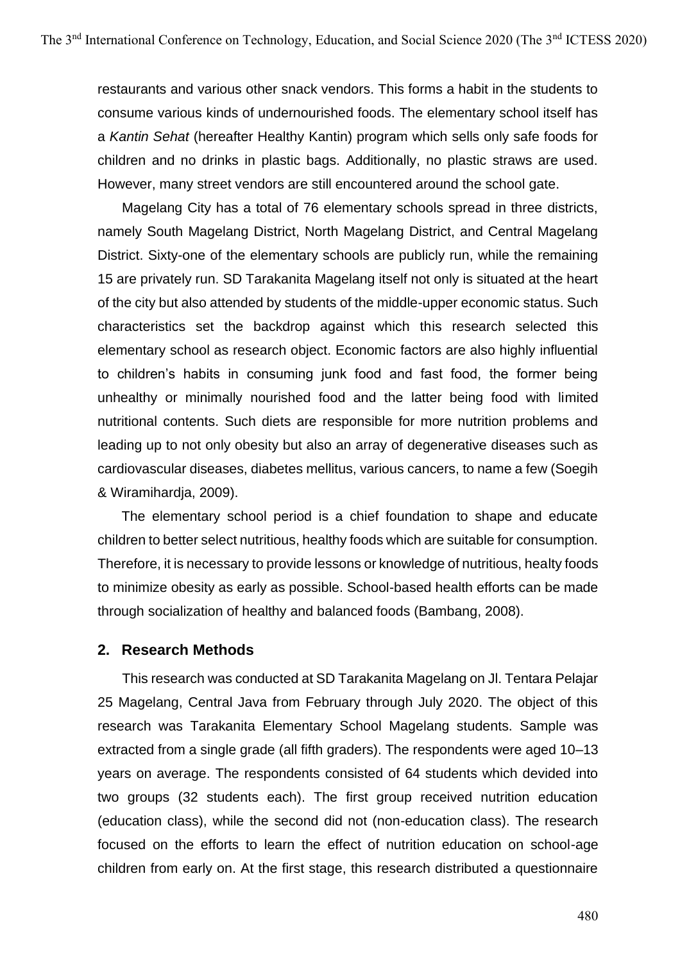restaurants and various other snack vendors. This forms a habit in the students to consume various kinds of undernourished foods. The elementary school itself has a *Kantin Sehat* (hereafter Healthy Kantin) program which sells only safe foods for children and no drinks in plastic bags. Additionally, no plastic straws are used. However, many street vendors are still encountered around the school gate.

Magelang City has a total of 76 elementary schools spread in three districts, namely South Magelang District, North Magelang District, and Central Magelang District. Sixty-one of the elementary schools are publicly run, while the remaining 15 are privately run. SD Tarakanita Magelang itself not only is situated at the heart of the city but also attended by students of the middle-upper economic status. Such characteristics set the backdrop against which this research selected this elementary school as research object. Economic factors are also highly influential to children's habits in consuming junk food and fast food, the former being unhealthy or minimally nourished food and the latter being food with limited nutritional contents. Such diets are responsible for more nutrition problems and leading up to not only obesity but also an array of degenerative diseases such as cardiovascular diseases, diabetes mellitus, various cancers, to name a few (Soegih & Wiramihardja, 2009).

The elementary school period is a chief foundation to shape and educate children to better select nutritious, healthy foods which are suitable for consumption. Therefore, it is necessary to provide lessons or knowledge of nutritious, healty foods to minimize obesity as early as possible. School-based health efforts can be made through socialization of healthy and balanced foods (Bambang, 2008).

### **2. Research Methods**

This research was conducted at SD Tarakanita Magelang on Jl. Tentara Pelajar 25 Magelang, Central Java from February through July 2020. The object of this research was Tarakanita Elementary School Magelang students. Sample was extracted from a single grade (all fifth graders). The respondents were aged 10–13 years on average. The respondents consisted of 64 students which devided into two groups (32 students each). The first group received nutrition education (education class), while the second did not (non-education class). The research focused on the efforts to learn the effect of nutrition education on school-age children from early on. At the first stage, this research distributed a questionnaire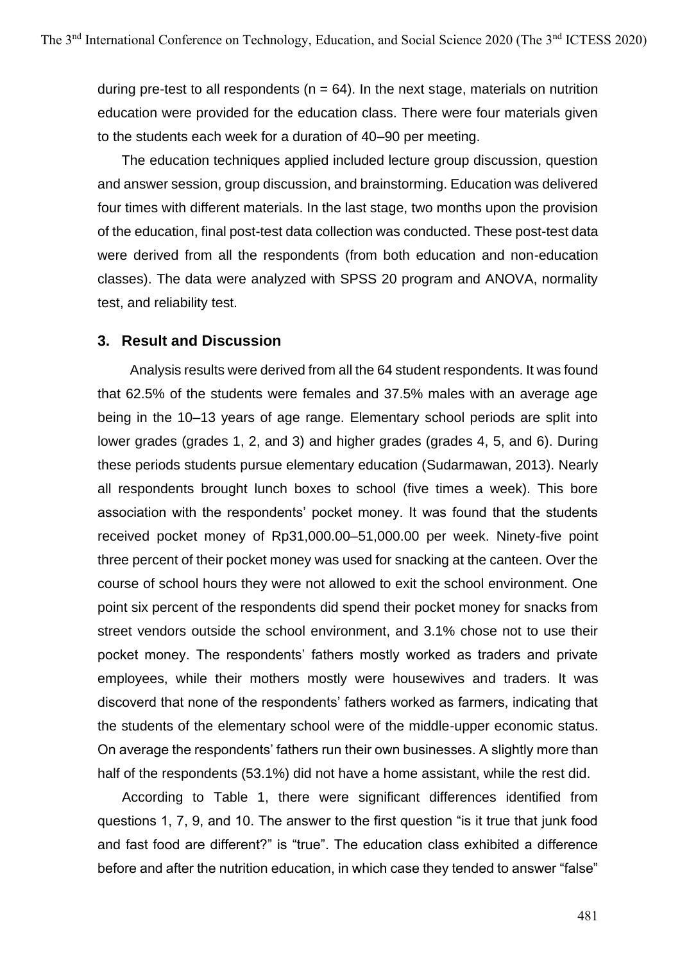during pre-test to all respondents ( $n = 64$ ). In the next stage, materials on nutrition education were provided for the education class. There were four materials given to the students each week for a duration of 40–90 per meeting.

The education techniques applied included lecture group discussion, question and answer session, group discussion, and brainstorming. Education was delivered four times with different materials. In the last stage, two months upon the provision of the education, final post-test data collection was conducted. These post-test data were derived from all the respondents (from both education and non-education classes). The data were analyzed with SPSS 20 program and ANOVA, normality test, and reliability test.

### **3. Result and Discussion**

Analysis results were derived from all the 64 student respondents. It was found that 62.5% of the students were females and 37.5% males with an average age being in the 10–13 years of age range. Elementary school periods are split into lower grades (grades 1, 2, and 3) and higher grades (grades 4, 5, and 6). During these periods students pursue elementary education (Sudarmawan, 2013). Nearly all respondents brought lunch boxes to school (five times a week). This bore association with the respondents' pocket money. It was found that the students received pocket money of Rp31,000.00–51,000.00 per week. Ninety-five point three percent of their pocket money was used for snacking at the canteen. Over the course of school hours they were not allowed to exit the school environment. One point six percent of the respondents did spend their pocket money for snacks from street vendors outside the school environment, and 3.1% chose not to use their pocket money. The respondents' fathers mostly worked as traders and private employees, while their mothers mostly were housewives and traders. It was discoverd that none of the respondents' fathers worked as farmers, indicating that the students of the elementary school were of the middle-upper economic status. On average the respondents' fathers run their own businesses. A slightly more than half of the respondents (53.1%) did not have a home assistant, while the rest did.

According to Table 1, there were significant differences identified from questions 1, 7, 9, and 10. The answer to the first question "is it true that junk food and fast food are different?" is "true". The education class exhibited a difference before and after the nutrition education, in which case they tended to answer "false"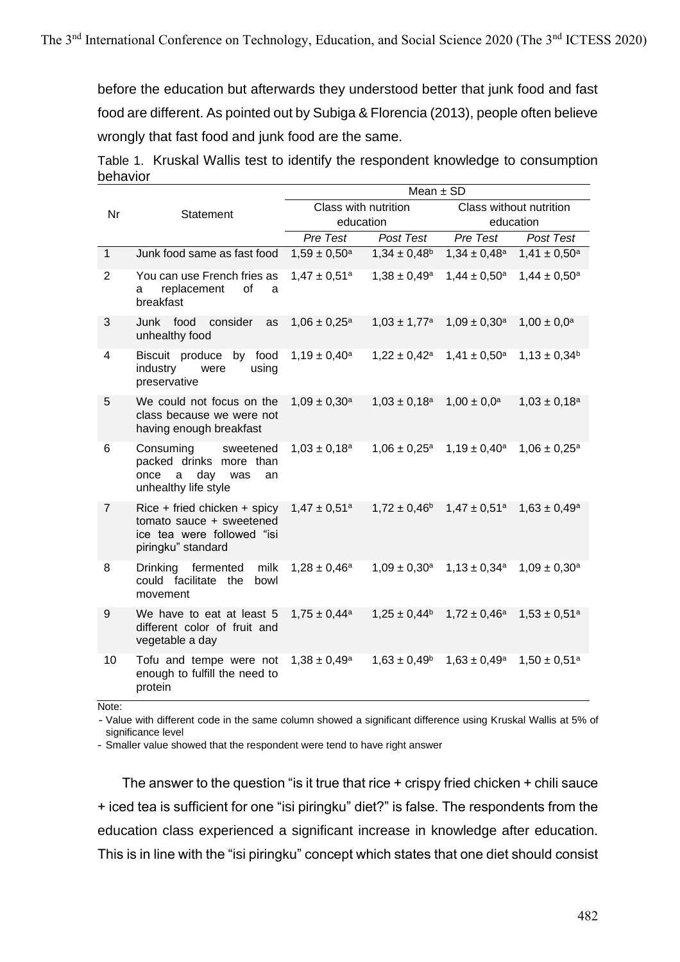before the education but afterwards they understood better that junk food and fast food are different. As pointed out by Subiga & Florencia (2013), people often believe wrongly that fast food and junk food are the same.

Table 1. Kruskal Wallis test to identify the respondent knowledge to consumption behavior

|                |                                                                                                                 |                              |                                    | Mean $\pm$ SD                                                           |                   |  |
|----------------|-----------------------------------------------------------------------------------------------------------------|------------------------------|------------------------------------|-------------------------------------------------------------------------|-------------------|--|
| Nr             | Statement                                                                                                       | Class with nutrition         |                                    | Class without nutrition                                                 |                   |  |
|                |                                                                                                                 | education                    |                                    | education                                                               |                   |  |
|                |                                                                                                                 | Pre Test                     | Post Test                          | Pre Test                                                                | Post Test         |  |
| $\mathbf{1}$   | Junk food same as fast food                                                                                     | $1,59 \pm 0,50^a$            | $1,34 \pm 0,48$ <sup>b</sup>       | $1,34 \pm 0,48^a$                                                       | $1,41 \pm 0,50^a$ |  |
| $\overline{2}$ | You can use French fries as<br>of<br>replacement<br>a<br>а<br>breakfast                                         | $1,47 \pm 0,51$ <sup>a</sup> | $1,38 \pm 0,49^a$                  | $1,44 \pm 0,50^{\rm a}$                                                 | $1,44 \pm 0,50^a$ |  |
| 3              | Junk food consider<br>as<br>unhealthy food                                                                      | $1,06 \pm 0,25^a$            | $1,03 \pm 1,77^a$                  | $1,09 \pm 0,30^a$                                                       | $1,00 \pm 0,0^a$  |  |
| 4              | Biscuit produce by food<br>industry<br>using<br>were<br>preservative                                            | $1,19 \pm 0,40^a$            |                                    | $1,22 \pm 0,42^a$ $1,41 \pm 0,50^a$                                     | $1,13 \pm 0,34^b$ |  |
| 5              | We could not focus on the<br>class because we were not<br>having enough breakfast                               | $1,09 \pm 0,30^a$            | $1,03 \pm 0,18^a$ $1,00 \pm 0,0^a$ |                                                                         | $1,03 \pm 0,18^a$ |  |
| 6              | Consuming sweetened<br>packed drinks more than<br>once<br>day<br>a<br>was<br>an<br>unhealthy life style         | $1,03 \pm 0,18^a$            |                                    | $1,06 \pm 0,25^a$ 1,19 $\pm 0,40^a$                                     | $1,06 \pm 0,25^a$ |  |
| $\overline{7}$ | $Rice + friend$ chicken + spicy<br>tomato sauce + sweetened<br>ice tea were followed "isi<br>piringku" standard | $1.47\pm0.51^{\rm a}$        |                                    | $1,72 \pm 0,46^{\circ}$ $1,47 \pm 0,51^{\circ}$ $1,63 \pm 0,49^{\circ}$ |                   |  |
| 8              | Drinking fermented<br>milk<br>could facilitate the<br>bowl<br>movement                                          | $1,28 \pm 0,46^a$            |                                    | $1,09 \pm 0,30^a$ $1,13 \pm 0,34^a$                                     | $1,09 \pm 0,30^a$ |  |
| 9              | We have to eat at least 5<br>different color of fruit and<br>vegetable a day                                    | $1,75 \pm 0,44^a$            |                                    | $1,25 \pm 0,44^{\circ}$ $1,72 \pm 0,46^{\circ}$ $1,53 \pm 0,51^{\circ}$ |                   |  |
| 10             | Tofu and tempe were not<br>enough to fulfill the need to<br>protein                                             | $1,38 \pm 0,49^a$            | $1,63 \pm 0,49^{\rm b}$            | $1,63 \pm 0,49$ <sup>a</sup>                                            | $1,50 \pm 0,51^a$ |  |

Note:

- Value with different code in the same column showed a significant difference using Kruskal Wallis at 5% of significance level

- Smaller value showed that the respondent were tend to have right answer

The answer to the question "is it true that rice + crispy fried chicken + chili sauce + iced tea is sufficient for one "isi piringku" diet?" is false. The respondents from the education class experienced a significant increase in knowledge after education. This is in line with the "isi piringku" concept which states that one diet should consist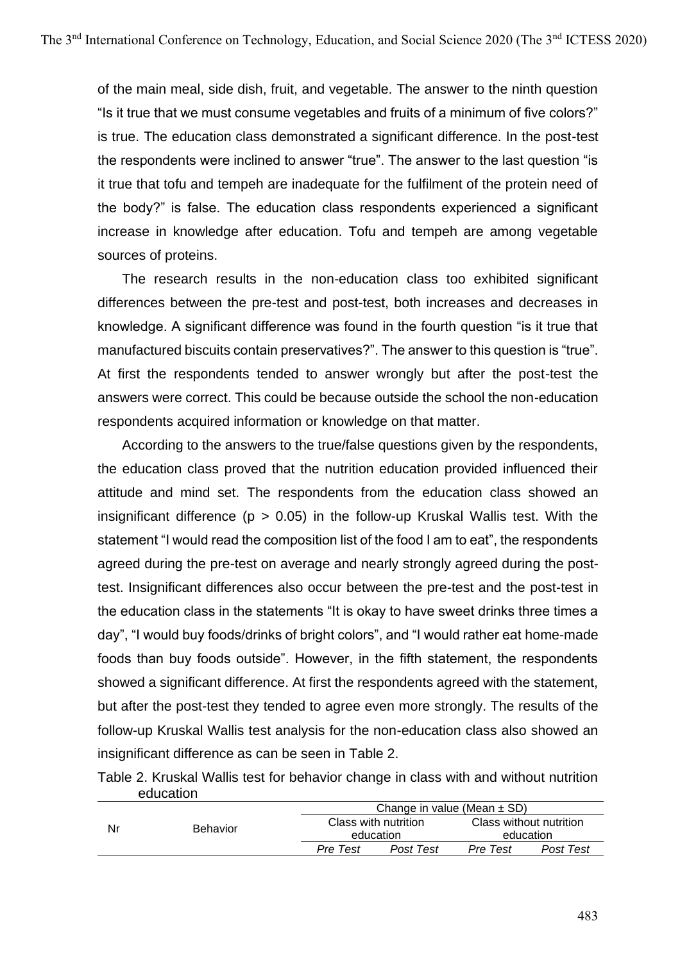of the main meal, side dish, fruit, and vegetable. The answer to the ninth question "Is it true that we must consume vegetables and fruits of a minimum of five colors?" is true. The education class demonstrated a significant difference. In the post-test the respondents were inclined to answer "true". The answer to the last question "is it true that tofu and tempeh are inadequate for the fulfilment of the protein need of the body?" is false. The education class respondents experienced a significant increase in knowledge after education. Tofu and tempeh are among vegetable sources of proteins.

The research results in the non-education class too exhibited significant differences between the pre-test and post-test, both increases and decreases in knowledge. A significant difference was found in the fourth question "is it true that manufactured biscuits contain preservatives?". The answer to this question is "true". At first the respondents tended to answer wrongly but after the post-test the answers were correct. This could be because outside the school the non-education respondents acquired information or knowledge on that matter.

According to the answers to the true/false questions given by the respondents, the education class proved that the nutrition education provided influenced their attitude and mind set. The respondents from the education class showed an insignificant difference ( $p > 0.05$ ) in the follow-up Kruskal Wallis test. With the statement "I would read the composition list of the food I am to eat", the respondents agreed during the pre-test on average and nearly strongly agreed during the posttest. Insignificant differences also occur between the pre-test and the post-test in the education class in the statements "It is okay to have sweet drinks three times a day", "I would buy foods/drinks of bright colors", and "I would rather eat home-made foods than buy foods outside". However, in the fifth statement, the respondents showed a significant difference. At first the respondents agreed with the statement, but after the post-test they tended to agree even more strongly. The results of the follow-up Kruskal Wallis test analysis for the non-education class also showed an insignificant difference as can be seen in Table 2.

Table 2. Kruskal Wallis test for behavior change in class with and without nutrition education

|    | <b>Behavior</b> | Change in value (Mean $\pm$ SD) |                                   |          |                                      |  |
|----|-----------------|---------------------------------|-----------------------------------|----------|--------------------------------------|--|
| Nr |                 |                                 | Class with nutrition<br>education |          | Class without nutrition<br>education |  |
|    |                 | Pre Test                        | Post Test                         | Pre Test | Post Test                            |  |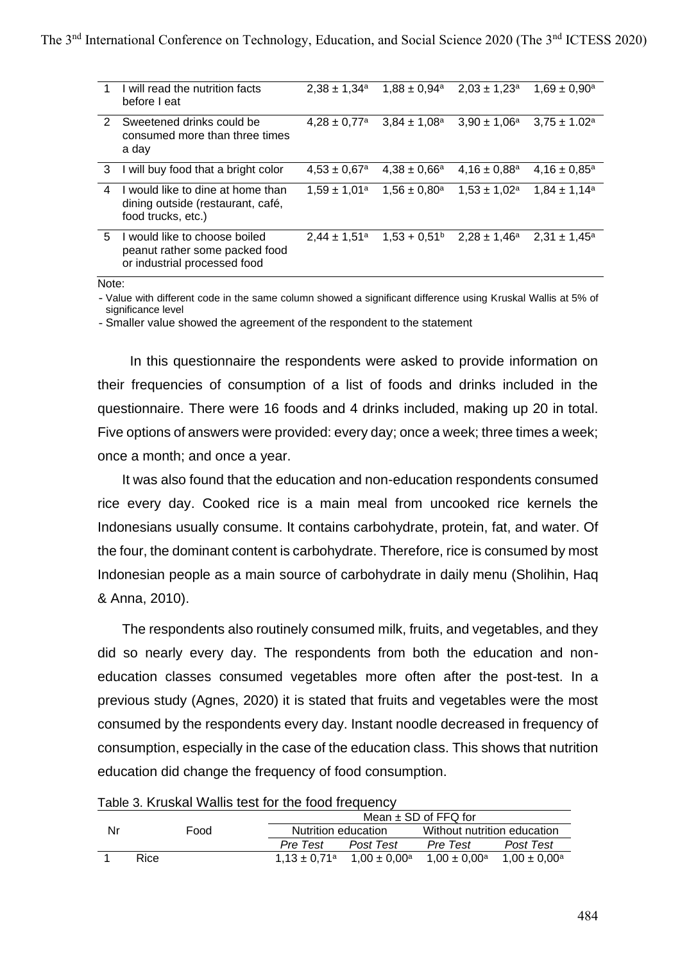|               | I will read the nutrition facts<br>before I eat                                                 | $2.38 \pm 1.34^a$            | $1,88 \pm 0,94^a$            | $2,03 \pm 1,23^a$            | $1,69 \pm 0,90^{\rm a}$ |
|---------------|-------------------------------------------------------------------------------------------------|------------------------------|------------------------------|------------------------------|-------------------------|
| $\mathcal{P}$ | Sweetened drinks could be<br>consumed more than three times<br>a day                            | $4.28 \pm 0.77$ <sup>a</sup> | $3.84 \pm 1.08$ <sup>a</sup> | $3.90 \pm 1.06^a$            | $3.75 \pm 1.02^a$       |
| 3             | I will buy food that a bright color                                                             | $4.53 \pm 0.67$ <sup>a</sup> | $4.38 \pm 0.66^a$            | $4.16 \pm 0.88$ <sup>a</sup> | $4,16 \pm 0,85^{\circ}$ |
| 4             | I would like to dine at home than<br>dining outside (restaurant, café,<br>food trucks, etc.)    | $1.59 \pm 1.01^a$            | $1.56 \pm 0.80^{\circ}$      | $1.53 \pm 1.02^a$            | $1.84 \pm 1.14^a$       |
| 5             | I would like to choose boiled<br>peanut rather some packed food<br>or industrial processed food | $2.44 \pm 1.51$ <sup>a</sup> | $1.53 + 0.51$ <sup>b</sup>   | $2,28 \pm 1,46^a$            | $2.31 \pm 1.45^a$       |

Note:

- Value with different code in the same column showed a significant difference using Kruskal Wallis at 5% of significance level

- Smaller value showed the agreement of the respondent to the statement

In this questionnaire the respondents were asked to provide information on their frequencies of consumption of a list of foods and drinks included in the questionnaire. There were 16 foods and 4 drinks included, making up 20 in total. Five options of answers were provided: every day; once a week; three times a week; once a month; and once a year.

It was also found that the education and non-education respondents consumed rice every day. Cooked rice is a main meal from uncooked rice kernels the Indonesians usually consume. It contains carbohydrate, protein, fat, and water. Of the four, the dominant content is carbohydrate. Therefore, rice is consumed by most Indonesian people as a main source of carbohydrate in daily menu (Sholihin, Haq & Anna, 2010).

The respondents also routinely consumed milk, fruits, and vegetables, and they did so nearly every day. The respondents from both the education and noneducation classes consumed vegetables more often after the post-test. In a previous study (Agnes, 2020) it is stated that fruits and vegetables were the most consumed by the respondents every day. Instant noodle decreased in frequency of consumption, especially in the case of the education class. This shows that nutrition education did change the frequency of food consumption.

| Table 5. Niushai Wallis test für the Tood Heyderlov |             |                     |                          |                                                 |                         |                   |  |
|-----------------------------------------------------|-------------|---------------------|--------------------------|-------------------------------------------------|-------------------------|-------------------|--|
|                                                     |             |                     | Mean $\pm$ SD of FFQ for |                                                 |                         |                   |  |
| Nr                                                  | Food        | Nutrition education |                          | Without nutrition education                     |                         |                   |  |
|                                                     |             |                     | Pre Test                 | Post Test                                       | Pre Test                | Post Test         |  |
|                                                     | <b>Rice</b> |                     |                          | $1.13 \pm 0.71^{\circ}$ $1.00 \pm 0.00^{\circ}$ | $1.00 \pm 0.00^{\rm a}$ | $1.00 \pm 0.00^a$ |  |

Table 3. Kruskal Wallis test for the food frequency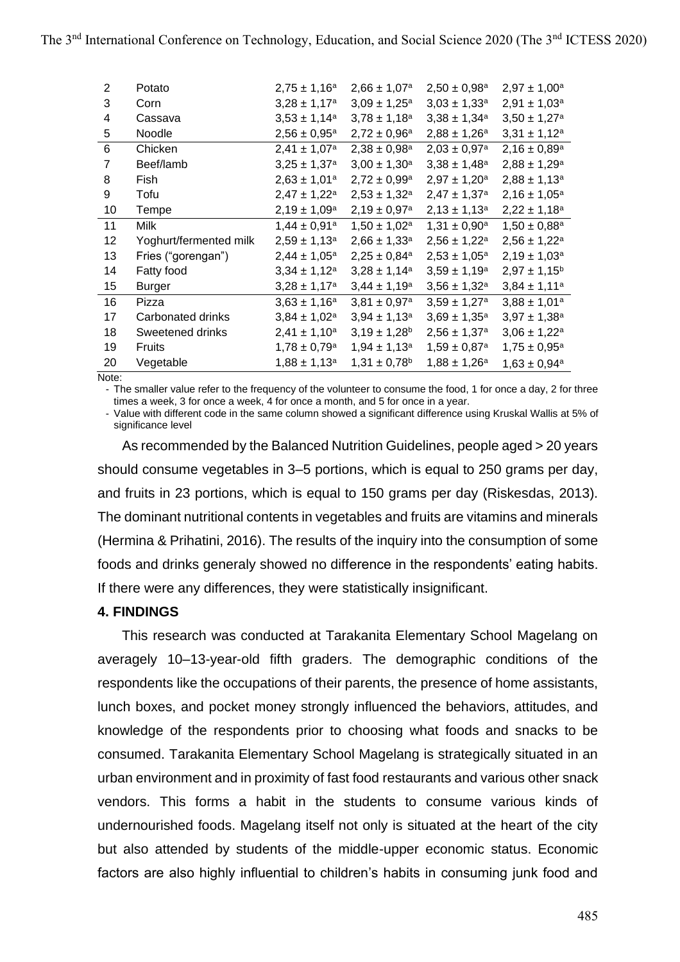| 2  | Potato                 | $2,75 \pm 1,16^a$            | $2,66 \pm 1,07^a$            | $2,50 \pm 0,98^a$            | $2,97 \pm 1,00^a$            |
|----|------------------------|------------------------------|------------------------------|------------------------------|------------------------------|
| 3  | Corn                   | $3,28 \pm 1,17^a$            | $3,09 \pm 1,25^a$            | $3,03 \pm 1,33^a$            | $2,91 \pm 1,03^a$            |
| 4  | Cassava                | $3,53 \pm 1,14^a$            | $3,78 \pm 1,18^a$            | $3,38 \pm 1,34^a$            | $3,50 \pm 1,27$ <sup>a</sup> |
| 5  | Noodle                 | $2,56 \pm 0,95^a$            | $2,72 \pm 0,96^a$            | $2,88 \pm 1,26^a$            | $3,31 \pm 1,12^a$            |
| 6  | Chicken                | $2,41 \pm 1,07^a$            | $2,38 \pm 0,98^a$            | $2,03 \pm 0,97$ <sup>a</sup> | $2,16 \pm 0,89$ <sup>a</sup> |
| 7  | Beef/lamb              | $3,25 \pm 1,37$ <sup>a</sup> | $3,00 \pm 1,30^a$            | $3,38 \pm 1,48^a$            | $2,88 \pm 1,29^a$            |
| 8  | Fish                   | $2,63 \pm 1,01^a$            | $2,72 \pm 0,99$ <sup>a</sup> | $2,97 \pm 1,20^a$            | $2,88 \pm 1,13^a$            |
| 9  | Tofu                   | $2,47 \pm 1,22^a$            | $2,53 \pm 1,32^a$            | $2,47 \pm 1,37$ <sup>a</sup> | $2,16 \pm 1,05^a$            |
| 10 | Tempe                  | $2,19 \pm 1,09^a$            | $2,19 \pm 0,97$ <sup>a</sup> | $2,13 \pm 1,13^a$            | $2,22 \pm 1,18^a$            |
| 11 | <b>Milk</b>            | $1,44 \pm 0,91^a$            | $1,50 \pm 1,02^a$            | $1,31 \pm 0,90^a$            | $1,50 \pm 0,88^a$            |
| 12 | Yoghurt/fermented milk | $2,59 \pm 1,13^a$            | $2,66 \pm 1,33$ <sup>a</sup> | $2,56 \pm 1,22^a$            | $2,56 \pm 1,22^a$            |
| 13 | Fries ("gorengan")     | $2,44 \pm 1,05^a$            | $2,25 \pm 0,84$ <sup>a</sup> | $2,53 \pm 1,05^a$            | $2,19 \pm 1,03^a$            |
| 14 | Fatty food             | $3,34 \pm 1,12^a$            | $3,28 \pm 1,14^a$            | $3,59 \pm 1,19^a$            | $2,97 \pm 1,15^b$            |
| 15 | <b>Burger</b>          | $3,28 \pm 1,17^a$            | $3,44 \pm 1,19^a$            | $3,56 \pm 1,32^a$            | $3,84 \pm 1,11^a$            |
| 16 | Pizza                  | $3,63 \pm 1,16^a$            | $3,81 \pm 0,97$ <sup>a</sup> | $3,59 \pm 1,27$ <sup>a</sup> | $3,88 \pm 1,01^a$            |
| 17 | Carbonated drinks      | $3,84 \pm 1,02^a$            | $3,94 \pm 1,13^a$            | $3,69 \pm 1,35^a$            | $3,97 \pm 1,38^a$            |
| 18 | Sweetened drinks       | $2,41 \pm 1,10^a$            | $3,19 \pm 1,28^b$            | $2,56 \pm 1,37$ <sup>a</sup> | $3,06 \pm 1,22^a$            |
| 19 | <b>Fruits</b>          | $1,78 \pm 0,79$ <sup>a</sup> | $1,94 \pm 1,13^a$            | $1,59 \pm 0,87$ <sup>a</sup> | $1,75 \pm 0,95^{\text{a}}$   |
| 20 | Vegetable              | $1,88 \pm 1,13^a$            | $1,31 \pm 0,78^b$            | $1,88 \pm 1,26^a$            | $1,63 \pm 0,94^a$            |

Note:

- The smaller value refer to the frequency of the volunteer to consume the food, 1 for once a day, 2 for three times a week, 3 for once a week, 4 for once a month, and 5 for once in a year.

- Value with different code in the same column showed a significant difference using Kruskal Wallis at 5% of significance level

As recommended by the Balanced Nutrition Guidelines, people aged > 20 years should consume vegetables in 3–5 portions, which is equal to 250 grams per day, and fruits in 23 portions, which is equal to 150 grams per day (Riskesdas, 2013). The dominant nutritional contents in vegetables and fruits are vitamins and minerals (Hermina & Prihatini, 2016). The results of the inquiry into the consumption of some foods and drinks generaly showed no difference in the respondents' eating habits. If there were any differences, they were statistically insignificant.

### **4. FINDINGS**

This research was conducted at Tarakanita Elementary School Magelang on averagely 10–13-year-old fifth graders. The demographic conditions of the respondents like the occupations of their parents, the presence of home assistants, lunch boxes, and pocket money strongly influenced the behaviors, attitudes, and knowledge of the respondents prior to choosing what foods and snacks to be consumed. Tarakanita Elementary School Magelang is strategically situated in an urban environment and in proximity of fast food restaurants and various other snack vendors. This forms a habit in the students to consume various kinds of undernourished foods. Magelang itself not only is situated at the heart of the city but also attended by students of the middle-upper economic status. Economic factors are also highly influential to children's habits in consuming junk food and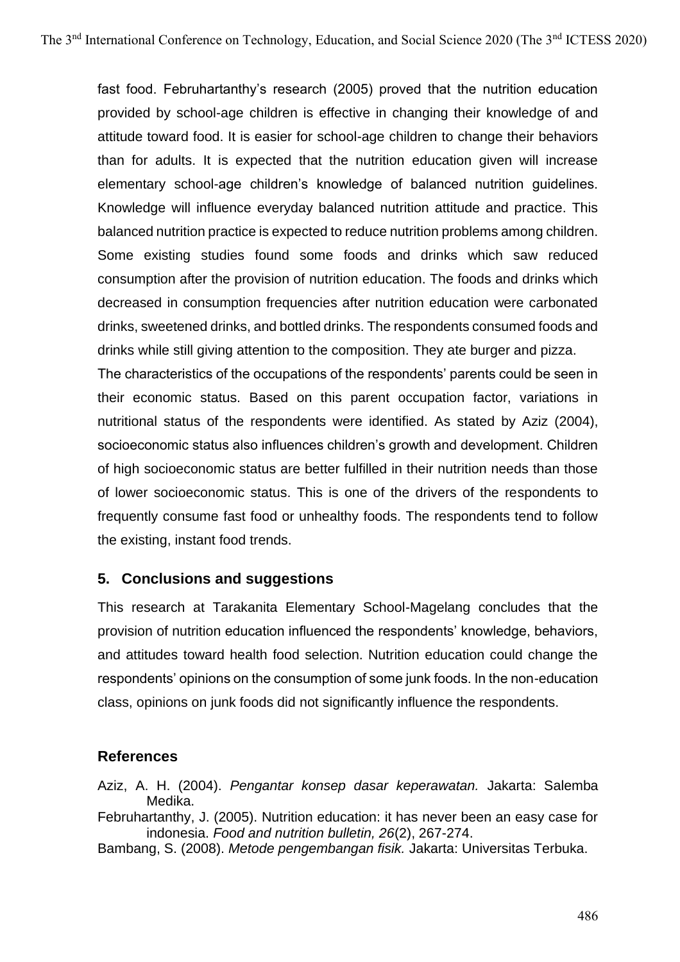fast food. Februhartanthy's research (2005) proved that the nutrition education provided by school-age children is effective in changing their knowledge of and attitude toward food. It is easier for school-age children to change their behaviors than for adults. It is expected that the nutrition education given will increase elementary school-age children's knowledge of balanced nutrition guidelines. Knowledge will influence everyday balanced nutrition attitude and practice. This balanced nutrition practice is expected to reduce nutrition problems among children. Some existing studies found some foods and drinks which saw reduced consumption after the provision of nutrition education. The foods and drinks which decreased in consumption frequencies after nutrition education were carbonated drinks, sweetened drinks, and bottled drinks. The respondents consumed foods and drinks while still giving attention to the composition. They ate burger and pizza.

The characteristics of the occupations of the respondents' parents could be seen in their economic status. Based on this parent occupation factor, variations in nutritional status of the respondents were identified. As stated by Aziz (2004), socioeconomic status also influences children's growth and development. Children of high socioeconomic status are better fulfilled in their nutrition needs than those of lower socioeconomic status. This is one of the drivers of the respondents to frequently consume fast food or unhealthy foods. The respondents tend to follow the existing, instant food trends.

## **5. Conclusions and suggestions**

This research at Tarakanita Elementary School-Magelang concludes that the provision of nutrition education influenced the respondents' knowledge, behaviors, and attitudes toward health food selection. Nutrition education could change the respondents' opinions on the consumption of some junk foods. In the non-education class, opinions on junk foods did not significantly influence the respondents.

### **References**

Aziz, A. H. (2004). *Pengantar konsep dasar keperawatan.* Jakarta: Salemba Medika.

Februhartanthy, J. (2005). Nutrition education: it has never been an easy case for indonesia. *Food and nutrition bulletin, 26*(2), 267-274.

Bambang, S. (2008). *Metode pengembangan fisik.* Jakarta: Universitas Terbuka.